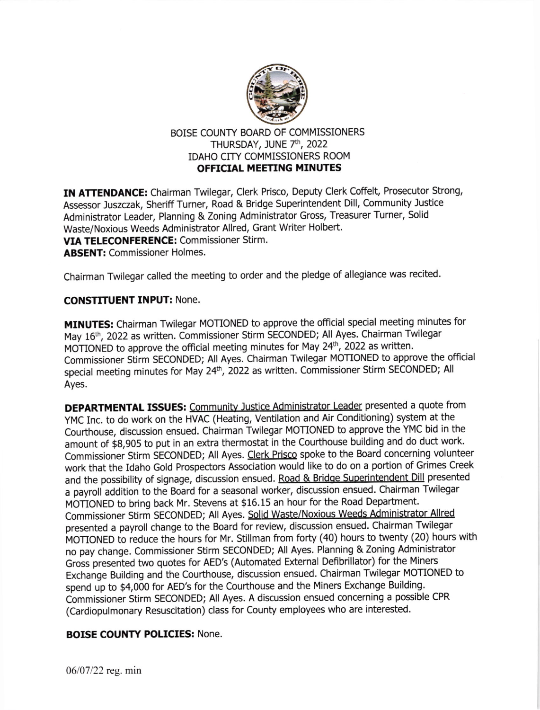

## BOISE COUNTY BOARD OF COMMISSIONERS THURSDAY, JUNE 7th, 2022 IDAHO CITY COMMISSIONERS ROOM OFFICIAL MEETING MINUTES

IN ATTENDANCE: Chairman Twilegar, Clerk Prisco, Deputy Clerk Coffelt, Prosecutor Strong, Assessor Juszczak, sheriff Turner, Road & Bridge superintendent Dill, community Justice Administrator Leader, Planning & Zoning Administrator Gross, Treasurer Turner, Solid Waste/Noxious Weeds Administrator Allred, Grant Writer Holbert. VIA TELECONFERENCE: Commissioner Stirm. ABSENT: Commissioner Holmes.

Chairman Twilegar called the meeting to order and the pledge of allegiance was recited.

### CONSTITUENT INPUT: None.

MINUTES: Chairman Twilegar MOTIONED to approve the official special meeting minutes for May 16th, 2022 as written. Commissioner Stirm SECONDED; All Ayes. Chairman Twilegar MOTIONED to approve the official meeting minutes for May 24<sup>th</sup>, 2022 as written. Commissioner Stirm SECONDED; All Ayes. Chairman Twilegar MOTIONED to approve the official special meeting minutes for May 24<sup>th</sup>, 2022 as written. Commissioner Stirm SECONDED; All Ayes.

DEPARTMENTAL ISSUES: Communitv Justice Administrator Leader presented a quote from yMC Inc. to do work on the HVAC (Heating, Ventilation and Air conditioning) system at the Courthouse, discussion ensued. Chairman Twilegar MOTIONED to approve the YMC bid in the amount of \$8,905 to put in an extra thermostat in the Courthouse building and do duct work. Commissioner Stirm SECONDED; All Ayes. Clerk Prisco spoke to the Board concerning volunteer work that the Idaho Gold Prospectors Association would like to do on a potion of Grimes Creek and the possibility of signage, discussion ensued. Road & Bridge Superintendent Dill presented a payroll addition to the Board for a seasonal worker, discussion ensued. Chairman Twilegar MOTIONED to bring back Mr. Stevens at \$16.15 an hour for the Road Department. Commissioner Stirm SECONDED; All Ayes. Solid Waste/Noxious Weeds Administrator Allred presented a payroll change to the Board for review, discussion ensued. chairman Twilegar MOTIONED to reduce the hours for Mr. Stillman from forty (40) hours to twenty (20) hours with no pay change. commissioner stirm SECoNDED; All Ayes. Planning & Zoning Administrator Gross presented two quotes for AED's (Automated External Defibrillator) for the Miners Exchange Building and the Courthouse, discussion ensued. Chairman Twilegar MOTIONED to spend up to \$4,000 for AED's for the Courthouse and the Miners Exchange Building. Commissioner Stirm SECONDED; All Ayes. A discussion ensued concerning a possible CPR (Cardiopulmonary Resuscitation) class for County employees who are interested.

# BOISE COUNTY POLICIES: None.